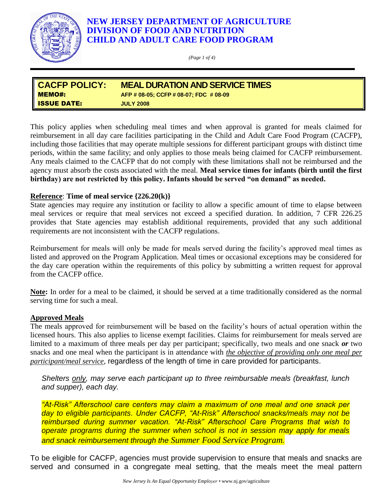

# **NEW JERSEY DEPARTMENT OF AGRICULTURE DIVISION OF FOOD AND NUTRITION CHILD AND ADULT CARE FOOD PROGRAM**

*(Page 1 of 4)*

| <b>CACFP POLICY:</b> | <b>MEAL DURATION AND SERVICE TIMES</b> |  |
|----------------------|----------------------------------------|--|
| <b>I</b> MEMO#:      | AFP # 08-05; CCFP # 08-07; FDC # 08-09 |  |
| <b>ISSUE DATE:</b>   | <b>JULY 2008</b>                       |  |

This policy applies when scheduling meal times and when approval is granted for meals claimed for reimbursement in all day care facilities participating in the Child and Adult Care Food Program (CACFP), including those facilities that may operate multiple sessions for different participant groups with distinct time periods, within the same facility; and only applies to those meals being claimed for CACFP reimbursement. Any meals claimed to the CACFP that do not comply with these limitations shall not be reimbursed and the agency must absorb the costs associated with the meal. **Meal service times for infants (birth until the first birthday) are not restricted by this policy. Infants should be served "on demand" as needed.** 

## **Reference**: **Time of meal service {226.20(k)}**

State agencies may require any institution or facility to allow a specific amount of time to elapse between meal services or require that meal services not exceed a specified duration. In addition, 7 CFR 226.25 provides that State agencies may establish additional requirements, provided that any such additional requirements are not inconsistent with the CACFP regulations.

Reimbursement for meals will only be made for meals served during the facility's approved meal times as listed and approved on the Program Application. Meal times or occasional exceptions may be considered for the day care operation within the requirements of this policy by submitting a written request for approval from the CACFP office.

**Note:** In order for a meal to be claimed, it should be served at a time traditionally considered as the normal serving time for such a meal.

#### **Approved Meals**

The meals approved for reimbursement will be based on the facility's hours of actual operation within the licensed hours. This also applies to license exempt facilities. Claims for reimbursement for meals served are limited to a maximum of three meals per day per participant; specifically, two meals and one snack *or* two snacks and one meal when the participant is in attendance with *the objective of providing only one meal per participant/meal service*, regardless of the length of time in care provided for participants.

*Shelters only, may serve each participant up to three reimbursable meals (breakfast, lunch and supper), each day.*

*"At-Risk" Afterschool care centers may claim a maximum of one meal and one snack per day to eligible participants. Under CACFP, "At-Risk" Afterschool snacks/meals may not be reimbursed during summer vacation. "At-Risk" Afterschool Care Programs that wish to operate programs during the summer when school is not in session may apply for meals and snack reimbursement through the Summer Food Service Program.*

To be eligible for CACFP, agencies must provide supervision to ensure that meals and snacks are served and consumed in a congregate meal setting, that the meals meet the meal pattern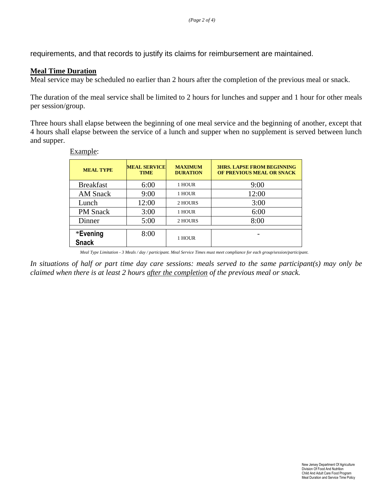requirements, and that records to justify its claims for reimbursement are maintained.

### **Meal Time Duration**

Meal service may be scheduled no earlier than 2 hours after the completion of the previous meal or snack.

The duration of the meal service shall be limited to 2 hours for lunches and supper and 1 hour for other meals per session/group.

Three hours shall elapse between the beginning of one meal service and the beginning of another, except that 4 hours shall elapse between the service of a lunch and supper when no supplement is served between lunch and supper.

| <b>MEAL TYPE</b>         | <b>MEAL SERVICE</b><br><b>TIME</b> | <b>MAXIMUM</b><br><b>DURATION</b> | <b>3HRS. LAPSE FROM BEGINNING</b><br>OF PREVIOUS MEAL OR SNACK |
|--------------------------|------------------------------------|-----------------------------------|----------------------------------------------------------------|
| <b>Breakfast</b>         | 6:00                               | 1 HOUR                            | 9:00                                                           |
| <b>AM Snack</b>          | 9:00                               | 1 HOUR                            | 12:00                                                          |
| Lunch                    | 12:00                              | 2 HOURS                           | 3:00                                                           |
| <b>PM</b> Snack          | 3:00                               | 1 HOUR                            | 6:00                                                           |
| Dinner                   | 5:00                               | 2 HOURS                           | 8:00                                                           |
| *Evening<br><b>Snack</b> | 8:00                               | 1 HOUR                            |                                                                |

Example:

*Meal Type Limitation - 3 Meals / day / participant. Meal Service Times must meet compliance for each group/session/participant.*

*In situations of half or part time day care sessions: meals served to the same participant(s) may only be claimed when there is at least 2 hours after the completion of the previous meal or snack.*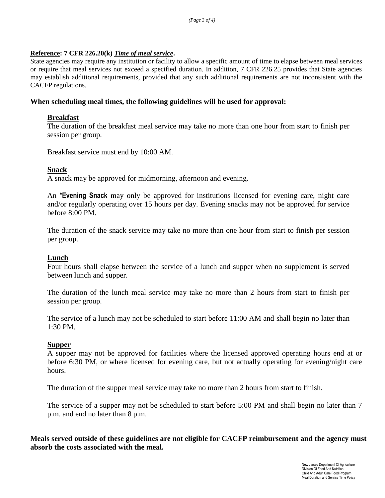#### **Reference: 7 CFR 226.20(k)** *Time of meal service***.**

State agencies may require any institution or facility to allow a specific amount of time to elapse between meal services or require that meal services not exceed a specified duration. In addition, 7 CFR 226.25 provides that State agencies may establish additional requirements, provided that any such additional requirements are not inconsistent with the CACFP regulations.

#### **When scheduling meal times, the following guidelines will be used for approval:**

#### **Breakfast**

The duration of the breakfast meal service may take no more than one hour from start to finish per session per group.

Breakfast service must end by 10:00 AM.

#### **Snack**

A snack may be approved for midmorning, afternoon and evening.

An \***Evening Snack** may only be approved for institutions licensed for evening care, night care and/or regularly operating over 15 hours per day. Evening snacks may not be approved for service before 8:00 PM.

The duration of the snack service may take no more than one hour from start to finish per session per group.

#### **Lunch**

Four hours shall elapse between the service of a lunch and supper when no supplement is served between lunch and supper.

The duration of the lunch meal service may take no more than 2 hours from start to finish per session per group.

The service of a lunch may not be scheduled to start before 11:00 AM and shall begin no later than 1:30 PM.

#### **Supper**

A supper may not be approved for facilities where the licensed approved operating hours end at or before 6:30 PM, or where licensed for evening care, but not actually operating for evening/night care hours.

The duration of the supper meal service may take no more than 2 hours from start to finish.

The service of a supper may not be scheduled to start before 5:00 PM and shall begin no later than 7 p.m. and end no later than 8 p.m.

**Meals served outside of these guidelines are not eligible for CACFP reimbursement and the agency must absorb the costs associated with the meal.**